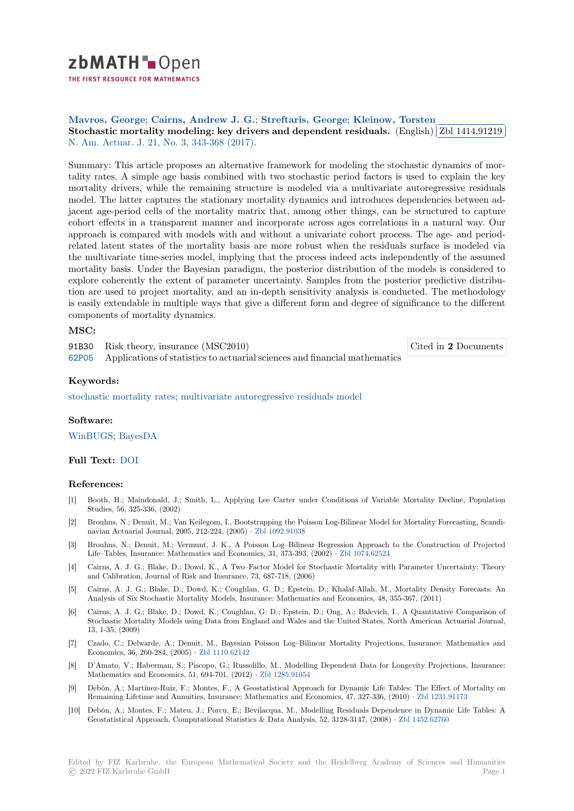# zbMATH-Open

THE FIRST RESOURCE FOR MATHEMATICS

## **Mavros, George**; **Cairns, Andrew J. G.**; **Streftaris, George**; **Kleinow, Torsten**

Mavios, George, Carris, Andrew J. G., [S](https://zbmath.org/)trettaris, George, Klemow, Torsten<br>Stochastic mortality modeling: key drivers and dependent residuals. (English) ✂ Zbl 1414.91219 ĺ. ✁ N. Am. Actuar. J. 21, No. 3, 343-368 (2017).

[Summary: This art](https://zbmath.org/authors/?q=ai:mavros.george)[icle proposes an alternativ](https://zbmath.org/authors/?q=ai:cairns.andrew-j-g)[e framework for mod](https://zbmath.org/authors/?q=ai:streftaris.george)e[ling the stochastic d](https://zbmath.org/authors/?q=ai:kleinow.torsten)ynamics of mor[tality rates. A simple age basis combined with two stochastic period factors](https://zbmath.org/1414.91219) is used t[o explain the key](https://zbmath.org/1414.91219) [mortality drivers,](https://zbmath.org/journals/?q=se:3081) [while the remaining struc](https://zbmath.org/?q=in:433224)ture is modeled via a multivariate autoregressive residuals model. The latter captures the stationary mortality dynamics and introduces dependencies between adjacent age-period cells of the mortality matrix that, among other things, can be structured to capture cohort effects in a transparent manner and incorporate across ages correlations in a natural way. Our approach is compared with models with and without a univariate cohort process. The age- and periodrelated latent states of the mortality basis are more robust when the residuals surface is modeled via the multivariate time-series model, implying that the process indeed acts independently of the assumed mortality basis. Under the Bayesian paradigm, the posterior distribution of the models is considered to explore coherently the extent of parameter uncertainty. Samples from the posterior predictive distribution are used to project mortality, and an in-depth sensitivity analysis is conducted. The methodology is easily extendable in multiple ways that give a different form and degree of significance to the different components of mortality dynamics.

Cited in **2** Documents

#### **MSC:**

91B30 Risk theory, insurance (MSC2010)

62P05 Applications of statistics to actuarial sciences and financial mathematics

**Keywords:**

[stocha](https://zbmath.org/classification/?q=cc:62P05)stic mortality rates; multivariate autoregressive residuals model

### **Software:**

[WinBUGS;](https://zbmath.org/?q=ut:stochastic+mortality+rates) BayesDA

### **Full Text:** DOI

### **[Reference](https://swmath.org/software/4492)[s:](https://swmath.org/software/11008)**

- [1] Booth, H.; Maindonald, J.; Smith, L., Applying Lee–Carter under Conditions of Variable Mortality Decline, Population Studies,5[6, 325](https://dx.doi.org/10.1080/10920277.2017.1286992)-336, (2002)
- [2] Brouhns, N.; Denuit, M.; Van Keilegom, I., Bootstrapping the Poisson Log-Bilinear Model for Mortality Forecasting, Scandinavian Actuarial Journal, 2005, 212-224, (2005) *·* Zbl 1092.91038
- [3] Brouhns, N.; Denuit, M.; Vermunt, J. K., A Poisson Log–Bilinear Regression Approach to the Construction of Projected Life–Tables, Insurance: Mathematics and Economics, 31, 373-393, (2002) *·* Zbl 1074.62524
- [4] Cairns, A. J. G.; Blake, D.; Dowd, K., A Two–Factor Model for Stochastic Mortality with Parameter Uncertainty: Theory and Calibration, Journal of Risk and Insurance,7[3, 687-718, \(200](https://zbmath.org/1092.91038)6)
- [5] Cairns, A. J. G.; Blake, D.; Dowd, K.; Coughlan, G. D.; Epstein, D.; Khalaf-Allah, M., Mortality Density Forecasts: An Analysis of Six Stochastic Mortality Models, Insurance: Mathematics and [Economics, 48, 3](https://zbmath.org/1074.62524)55-367, (2011)
- [6] Cairns, A. J. G.; Blake, D.; Dowd, K.; Coughlan, G. D.; Epstein, D.; Ong, A.; Balevich, I., A Quantitative Comparison of Stochastic Mortality Models using Data from England and Wales and the United States, North American Actuarial Journal, 13, 1-35, (2009)
- [7] Czado, C.; Delwarde, A.; Denuit, M., Bayesian Poisson Log–Bilinear Mortality Projections, Insurance: Mathematics and Economics, 36, 260-284, (2005) *·* Zbl 1110.62142
- [8] D'Amato, V.; Haberman, S.; Piscopo, G.; Russolillo, M., Modelling Dependent Data for Longevity Projections, Insurance: Mathematics and Economics, 51, 694-701, (2012) *·* Zbl 1285.91054
- [9] Debón, A.; Martínez-Ruiz, F.; Montes, F., A Geostatistical Approach for Dynamic Life Tables: The Effect of Mortality on Remaining Lifetime and Annuiti[es, Insurance: M](https://zbmath.org/1110.62142)athematics and Economics, 47, 327-336, (2010) *·* Zbl 1231.91173
- [10] Debón, A.; Montes, F.; Mateu, J.; Porcu, E.; Bevilacqua, M., Modelling Residuals Dependence in Dynamic Life Tables: A Geostatistical Approach, Computational Statistics [& Data Analysi](https://zbmath.org/1285.91054)s, 52, 3128-3147, (2008) *·* Zbl 1452.62760